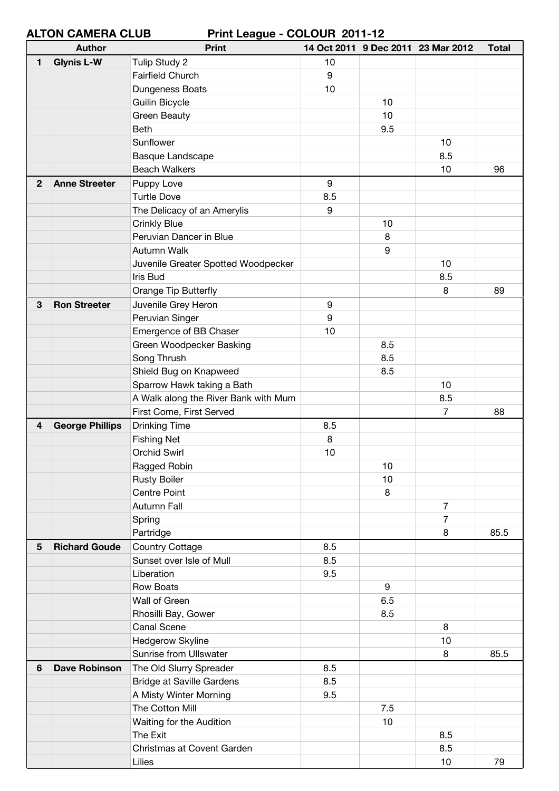**ALTON CAMERA CLUB Print League - COLOUR 2011-12**

|                | ALIVII VAIILNA VLUD<br><b>Author</b> | FIIIIL LUQYUU - VULVUN LUTTIL<br><b>Print</b> |     |     | 14 Oct 2011 9 Dec 2011 23 Mar 2012 | <b>Total</b> |
|----------------|--------------------------------------|-----------------------------------------------|-----|-----|------------------------------------|--------------|
| $\blacksquare$ | <b>Glynis L-W</b>                    | Tulip Study 2                                 | 10  |     |                                    |              |
|                |                                      | <b>Fairfield Church</b>                       | 9   |     |                                    |              |
|                |                                      | Dungeness Boats                               | 10  |     |                                    |              |
|                |                                      | <b>Guilin Bicycle</b>                         |     | 10  |                                    |              |
|                |                                      | Green Beauty                                  |     | 10  |                                    |              |
|                |                                      | <b>Beth</b>                                   |     | 9.5 |                                    |              |
|                |                                      | Sunflower                                     |     |     | 10                                 |              |
|                |                                      | <b>Basque Landscape</b>                       |     |     | 8.5                                |              |
|                |                                      | <b>Beach Walkers</b>                          |     |     | 10                                 | 96           |
| $\mathbf{2}$   | <b>Anne Streeter</b>                 |                                               | 9   |     |                                    |              |
|                |                                      | Puppy Love<br><b>Turtle Dove</b>              | 8.5 |     |                                    |              |
|                |                                      |                                               | 9   |     |                                    |              |
|                |                                      | The Delicacy of an Amerylis                   |     |     |                                    |              |
|                |                                      | <b>Crinkly Blue</b>                           |     | 10  |                                    |              |
|                |                                      | Peruvian Dancer in Blue                       |     | 8   |                                    |              |
|                |                                      | Autumn Walk                                   |     | 9   |                                    |              |
|                |                                      | Juvenile Greater Spotted Woodpecker           |     |     | 10                                 |              |
|                |                                      | Iris Bud                                      |     |     | 8.5                                |              |
|                |                                      | Orange Tip Butterfly                          |     |     | 8                                  | 89           |
| 3              | <b>Ron Streeter</b>                  | Juvenile Grey Heron                           | 9   |     |                                    |              |
|                |                                      | Peruvian Singer                               | 9   |     |                                    |              |
|                |                                      | Emergence of BB Chaser                        | 10  |     |                                    |              |
|                |                                      | Green Woodpecker Basking                      |     | 8.5 |                                    |              |
|                |                                      | Song Thrush                                   |     | 8.5 |                                    |              |
|                |                                      | Shield Bug on Knapweed                        |     | 8.5 |                                    |              |
|                |                                      | Sparrow Hawk taking a Bath                    |     |     | 10                                 |              |
|                |                                      | A Walk along the River Bank with Mum          |     |     | 8.5                                |              |
|                |                                      | First Come, First Served                      |     |     | 7                                  | 88           |
| 4              | <b>George Phillips</b>               | <b>Drinking Time</b>                          | 8.5 |     |                                    |              |
|                |                                      | <b>Fishing Net</b>                            | 8   |     |                                    |              |
|                |                                      | <b>Orchid Swirl</b>                           | 10  |     |                                    |              |
|                |                                      | Ragged Robin                                  |     | 10  |                                    |              |
|                |                                      | <b>Rusty Boiler</b>                           |     | 10  |                                    |              |
|                |                                      | <b>Centre Point</b>                           |     | 8   |                                    |              |
|                |                                      | Autumn Fall                                   |     |     | $\overline{7}$                     |              |
|                |                                      | Spring                                        |     |     | $\overline{7}$                     |              |
|                |                                      | Partridge                                     |     |     | 8                                  | 85.5         |
| $5\phantom{1}$ | <b>Richard Goude</b>                 | <b>Country Cottage</b>                        | 8.5 |     |                                    |              |
|                |                                      | Sunset over Isle of Mull                      | 8.5 |     |                                    |              |
|                |                                      | Liberation                                    | 9.5 |     |                                    |              |
|                |                                      | <b>Row Boats</b>                              |     | 9   |                                    |              |
|                |                                      | Wall of Green                                 |     | 6.5 |                                    |              |
|                |                                      | Rhosilli Bay, Gower                           |     | 8.5 |                                    |              |
|                |                                      | <b>Canal Scene</b>                            |     |     | 8                                  |              |
|                |                                      | Hedgerow Skyline                              |     |     | 10                                 |              |
|                |                                      | Sunrise from Ullswater                        |     |     | 8                                  | 85.5         |
| 6              | <b>Dave Robinson</b>                 | The Old Slurry Spreader                       | 8.5 |     |                                    |              |
|                |                                      | <b>Bridge at Saville Gardens</b>              | 8.5 |     |                                    |              |
|                |                                      | A Misty Winter Morning                        | 9.5 |     |                                    |              |
|                |                                      | The Cotton Mill                               |     | 7.5 |                                    |              |
|                |                                      |                                               |     |     |                                    |              |
|                |                                      | Waiting for the Audition                      |     | 10  |                                    |              |
|                |                                      | The Exit                                      |     |     | 8.5                                |              |
|                |                                      | Christmas at Covent Garden                    |     |     | 8.5                                |              |
|                |                                      | Lilies                                        |     |     | 10                                 | 79           |